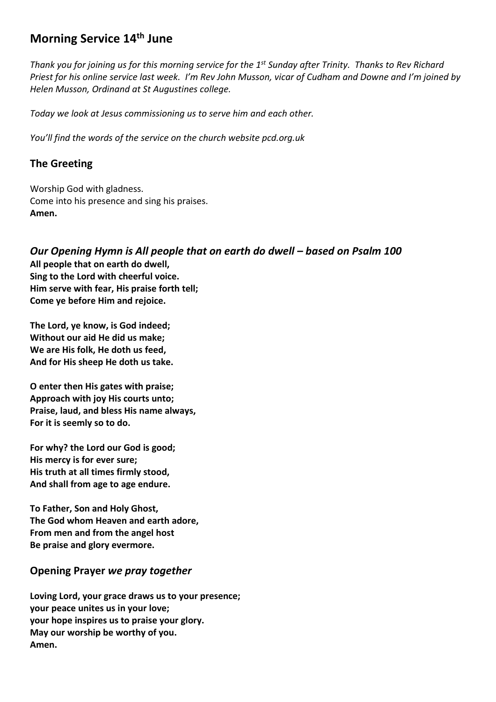# **Morning Service 14th June**

*Thank you for joining us for this morning service for the 1 st Sunday after Trinity. Thanks to Rev Richard Priest for his online service last week. I'm Rev John Musson, vicar of Cudham and Downe and I'm joined by Helen Musson, Ordinand at St Augustines college.* 

*Today we look at Jesus commissioning us to serve him and each other.*

*You'll find the words of the service on the church website pcd.org.uk* 

### **The Greeting**

Worship God with gladness. Come into his presence and sing his praises. **Amen.**

*Our Opening Hymn is All people that on earth do dwell – based on Psalm 100* **All people that on earth do dwell, Sing to the Lord with cheerful voice. Him serve with fear, His praise forth tell; Come ye before Him and rejoice.**

**The Lord, ye know, is God indeed; Without our aid He did us make; We are His folk, He doth us feed, And for His sheep He doth us take.**

**O enter then His gates with praise; Approach with joy His courts unto; Praise, laud, and bless His name always, For it is seemly so to do.**

**For why? the Lord our God is good; His mercy is for ever sure; His truth at all times firmly stood, And shall from age to age endure.**

**To Father, Son and Holy Ghost, The God whom Heaven and earth adore, From men and from the angel host Be praise and glory evermore.**

### **Opening Prayer** *we pray together*

**Loving Lord, your grace draws us to your presence; your peace unites us in your love; your hope inspires us to praise your glory. May our worship be worthy of you. Amen.**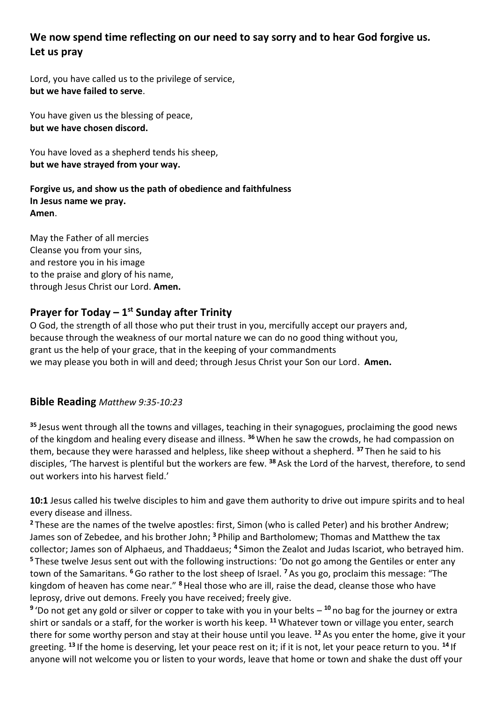# **We now spend time reflecting on our need to say sorry and to hear God forgive us***.* **Let us pray**

Lord, you have called us to the privilege of service, **but we have failed to serve**.

You have given us the blessing of peace, **but we have chosen discord.**

You have loved as a shepherd tends his sheep, **but we have strayed from your way.**

**Forgive us, and show us the path of obedience and faithfulness In Jesus name we pray. Amen**.

May the Father of all mercies Cleanse you from your sins, and restore you in his image to the praise and glory of his name, through Jesus Christ our Lord. **Amen.**

# **Prayer for Today – 1 st Sunday after Trinity**

O God, the strength of all those who put their trust in you, mercifully accept our prayers and, because through the weakness of our mortal nature we can do no good thing without you, grant us the help of your grace, that in the keeping of your commandments we may please you both in will and deed; through Jesus Christ your Son our Lord. **Amen.**

### **Bible Reading** *Matthew 9:35-10:23*

**<sup>35</sup>** Jesus went through all the towns and villages, teaching in their synagogues, proclaiming the good news of the kingdom and healing every disease and illness. **<sup>36</sup>** When he saw the crowds, he had compassion on them, because they were harassed and helpless, like sheep without a shepherd. **<sup>37</sup>** Then he said to his disciples, 'The harvest is plentiful but the workers are few. **<sup>38</sup>** Ask the Lord of the harvest, therefore, to send out workers into his harvest field.'

**10:1** Jesus called his twelve disciples to him and gave them authority to drive out impure spirits and to heal every disease and illness.

**<sup>2</sup>** These are the names of the twelve apostles: first, Simon (who is called Peter) and his brother Andrew; James son of Zebedee, and his brother John; **<sup>3</sup>** Philip and Bartholomew; Thomas and Matthew the tax collector; James son of Alphaeus, and Thaddaeus; **<sup>4</sup>** Simon the Zealot and Judas Iscariot, who betrayed him. **<sup>5</sup>** These twelve Jesus sent out with the following instructions: 'Do not go among the Gentiles or enter any town of the Samaritans. **<sup>6</sup>**Go rather to the lost sheep of Israel. **<sup>7</sup>** As you go, proclaim this message: "The kingdom of heaven has come near." **<sup>8</sup>**Heal those who are ill, raise the dead, cleanse those who have leprosy, drive out demons. Freely you have received; freely give.

<sup>9</sup> 'Do not get any gold or silver or copper to take with you in your belts – <sup>10</sup> no bag for the journey or extra shirt or sandals or a staff, for the worker is worth his keep. **<sup>11</sup>** Whatever town or village you enter, search there for some worthy person and stay at their house until you leave. **<sup>12</sup>** As you enter the home, give it your greeting. **<sup>13</sup>** If the home is deserving, let your peace rest on it; if it is not, let your peace return to you. **<sup>14</sup>** If anyone will not welcome you or listen to your words, leave that home or town and shake the dust off your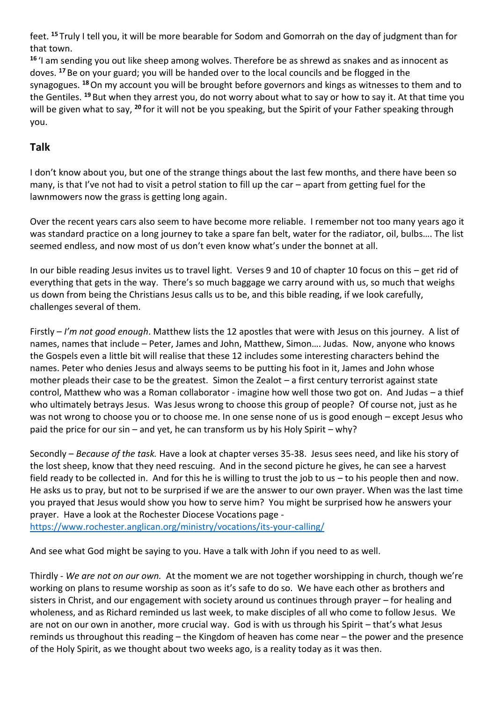feet. **<sup>15</sup>** Truly I tell you, it will be more bearable for Sodom and Gomorrah on the day of judgment than for that town.

**<sup>16</sup>** 'I am sending you out like sheep among wolves. Therefore be as shrewd as snakes and as innocent as doves. **<sup>17</sup>** Be on your guard; you will be handed over to the local councils and be flogged in the synagogues. **<sup>18</sup>**On my account you will be brought before governors and kings as witnesses to them and to the Gentiles. **<sup>19</sup>** But when they arrest you, do not worry about what to say or how to say it. At that time you will be given what to say, **<sup>20</sup>** for it will not be you speaking, but the Spirit of your Father speaking through you.

# **Talk**

I don't know about you, but one of the strange things about the last few months, and there have been so many, is that I've not had to visit a petrol station to fill up the car – apart from getting fuel for the lawnmowers now the grass is getting long again.

Over the recent years cars also seem to have become more reliable. I remember not too many years ago it was standard practice on a long journey to take a spare fan belt, water for the radiator, oil, bulbs…. The list seemed endless, and now most of us don't even know what's under the bonnet at all.

In our bible reading Jesus invites us to travel light. Verses 9 and 10 of chapter 10 focus on this – get rid of everything that gets in the way. There's so much baggage we carry around with us, so much that weighs us down from being the Christians Jesus calls us to be, and this bible reading, if we look carefully, challenges several of them.

Firstly – *I'm not good enough*. Matthew lists the 12 apostles that were with Jesus on this journey. A list of names, names that include – Peter, James and John, Matthew, Simon…. Judas. Now, anyone who knows the Gospels even a little bit will realise that these 12 includes some interesting characters behind the names. Peter who denies Jesus and always seems to be putting his foot in it, James and John whose mother pleads their case to be the greatest. Simon the Zealot – a first century terrorist against state control, Matthew who was a Roman collaborator - imagine how well those two got on. And Judas – a thief who ultimately betrays Jesus. Was Jesus wrong to choose this group of people? Of course not, just as he was not wrong to choose you or to choose me. In one sense none of us is good enough – except Jesus who paid the price for our sin – and yet, he can transform us by his Holy Spirit – why?

Secondly – *Because of the task.* Have a look at chapter verses 35-38. Jesus sees need, and like his story of the lost sheep, know that they need rescuing. And in the second picture he gives, he can see a harvest field ready to be collected in. And for this he is willing to trust the job to us – to his people then and now. He asks us to pray, but not to be surprised if we are the answer to our own prayer. When was the last time you prayed that Jesus would show you how to serve him? You might be surprised how he answers your prayer. Have a look at the Rochester Diocese Vocations page -

<https://www.rochester.anglican.org/ministry/vocations/its-your-calling/>

And see what God might be saying to you. Have a talk with John if you need to as well.

Thirdly - *We are not on our own.* At the moment we are not together worshipping in church, though we're working on plans to resume worship as soon as it's safe to do so. We have each other as brothers and sisters in Christ, and our engagement with society around us continues through prayer – for healing and wholeness, and as Richard reminded us last week, to make disciples of all who come to follow Jesus. We are not on our own in another, more crucial way. God is with us through his Spirit – that's what Jesus reminds us throughout this reading – the Kingdom of heaven has come near – the power and the presence of the Holy Spirit, as we thought about two weeks ago, is a reality today as it was then.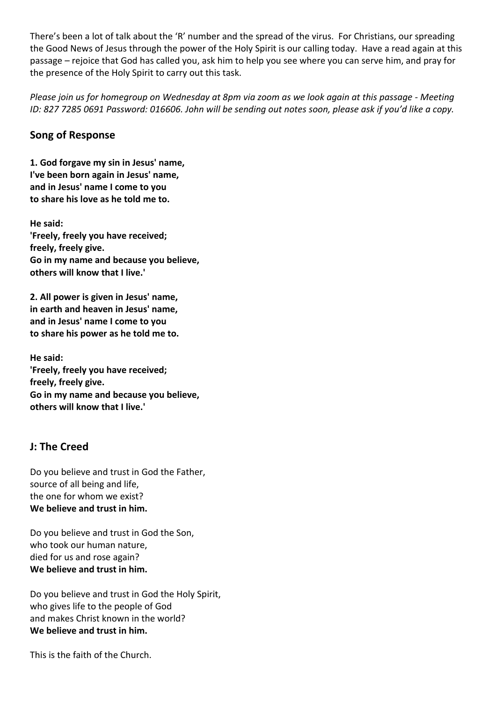There's been a lot of talk about the 'R' number and the spread of the virus. For Christians, our spreading the Good News of Jesus through the power of the Holy Spirit is our calling today. Have a read again at this passage – rejoice that God has called you, ask him to help you see where you can serve him, and pray for the presence of the Holy Spirit to carry out this task.

*Please join us for homegroup on Wednesday at 8pm via zoom as we look again at this passage - Meeting ID: 827 7285 0691 Password: 016606. John will be sending out notes soon, please ask if you'd like a copy.*

## **Song of Response**

**1. God forgave my sin in Jesus' name, I've been born again in Jesus' name, and in Jesus' name I come to you to share his love as he told me to.**

**He said: 'Freely, freely you have received; freely, freely give. Go in my name and because you believe, others will know that I live.'**

**2. All power is given in Jesus' name, in earth and heaven in Jesus' name, and in Jesus' name I come to you to share his power as he told me to.**

**He said: 'Freely, freely you have received; freely, freely give. Go in my name and because you believe, others will know that I live.'**

# **J: The Creed**

Do you believe and trust in God the Father, source of all being and life, the one for whom we exist? **We believe and trust in him.**

Do you believe and trust in God the Son, who took our human nature, died for us and rose again? **We believe and trust in him.**

Do you believe and trust in God the Holy Spirit, who gives life to the people of God and makes Christ known in the world? **We believe and trust in him.**

This is the faith of the Church.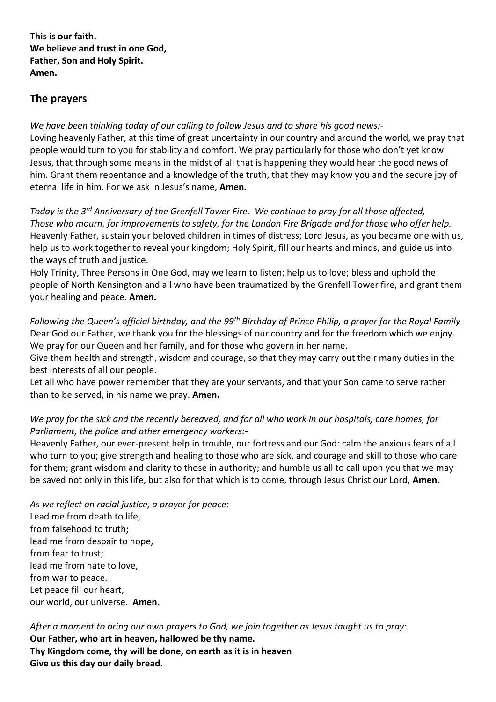**This is our faith. We believe and trust in one God, Father, Son and Holy Spirit. Amen.**

## **The prayers**

*We have been thinking today of our calling to follow Jesus and to share his good news:-* Loving heavenly Father, at this time of great uncertainty in our country and around the world, we pray that people would turn to you for stability and comfort. We pray particularly for those who don't yet know Jesus, that through some means in the midst of all that is happening they would hear the good news of him. Grant them repentance and a knowledge of the truth, that they may know you and the secure joy of eternal life in him. For we ask in Jesus's name, **Amen.**

*Today is the 3rd Anniversary of the Grenfell Tower Fire. We continue to pray for all those affected, Those who mourn, for improvements to safety, for the London Fire Brigade and for those who offer help.* Heavenly Father, sustain your beloved children in times of distress; Lord Jesus, as you became one with us, help us to work together to reveal your kingdom; Holy Spirit, fill our hearts and minds, and guide us into the ways of truth and justice.

Holy Trinity, Three Persons in One God, may we learn to listen; help us to love; bless and uphold the people of North Kensington and all who have been traumatized by the Grenfell Tower fire, and grant them your healing and peace. **Amen.**

*Following the Queen's official birthday, and the 99th Birthday of Prince Philip, a prayer for the Royal Family* Dear God our Father, we thank you for the blessings of our country and for the freedom which we enjoy. We pray for our Queen and her family, and for those who govern in her name.

Give them health and strength, wisdom and courage, so that they may carry out their many duties in the best interests of all our people.

Let all who have power remember that they are your servants, and that your Son came to serve rather than to be served, in his name we pray. **Amen.**

### *We pray for the sick and the recently bereaved, and for all who work in our hospitals, care homes, for Parliament, the police and other emergency workers:-*

Heavenly Father, our ever-present help in trouble, our fortress and our God: calm the anxious fears of all who turn to you; give strength and healing to those who are sick, and courage and skill to those who care for them; grant wisdom and clarity to those in authority; and humble us all to call upon you that we may be saved not only in this life, but also for that which is to come, through Jesus Christ our Lord, **Amen.**

*As we reflect on racial justice, a prayer for peace:-* Lead me from death to life, from falsehood to truth; lead me from despair to hope, from fear to trust; lead me from hate to love, from war to peace. Let peace fill our heart, our world, our universe. **Amen.**

*After a moment to bring our own prayers to God, we join together as Jesus taught us to pray:* **Our Father, who art in heaven, hallowed be thy name. Thy Kingdom come, thy will be done, on earth as it is in heaven Give us this day our daily bread.**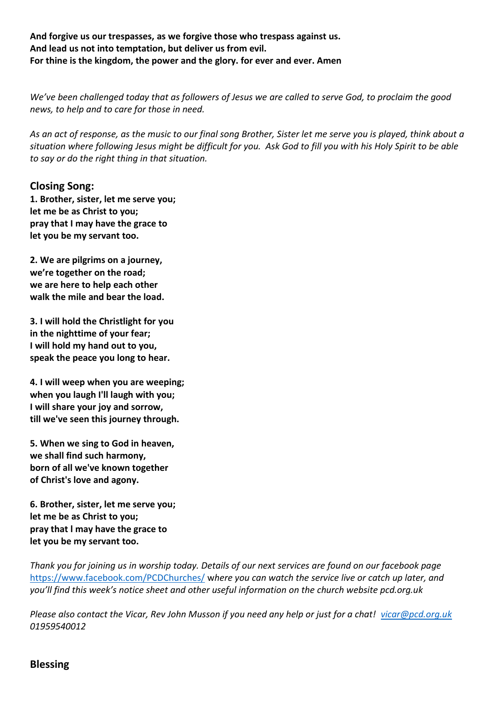**And forgive us our trespasses, as we forgive those who trespass against us. And lead us not into temptation, but deliver us from evil. For thine is the kingdom, the power and the glory. for ever and ever. Amen**

*We've been challenged today that as followers of Jesus we are called to serve God, to proclaim the good news, to help and to care for those in need.*

*As an act of response, as the music to our final song Brother, Sister let me serve you is played, think about a situation where following Jesus might be difficult for you. Ask God to fill you with his Holy Spirit to be able to say or do the right thing in that situation.*

#### **Closing Song:**

**1. Brother, sister, let me serve you; let me be as Christ to you; pray that I may have the grace to let you be my servant too.**

**2. We are pilgrims on a journey, we're together on the road; we are here to help each other walk the mile and bear the load.**

**3. I will hold the Christlight for you in the nighttime of your fear; I will hold my hand out to you, speak the peace you long to hear.**

**4. I will weep when you are weeping; when you laugh I'll laugh with you; I will share your joy and sorrow, till we've seen this journey through.**

**5. When we sing to God in heaven, we shall find such harmony, born of all we've known together of Christ's love and agony.**

**6. Brother, sister, let me serve you; let me be as Christ to you; pray that l may have the grace to let you be my servant too.**

*Thank you for joining us in worship today. Details of our next services are found on our facebook page*  <https://www.facebook.com/PCDChurches/> w*here you can watch the service live or catch up later, and you'll find this week's notice sheet and other useful information on the church website pcd.org.uk*

*Please also contact the Vicar, Rev John Musson if you need any help or just for a chat! [vicar@pcd.org.uk](mailto:vicar@pcd.org.uk) 01959540012*

#### **Blessing**